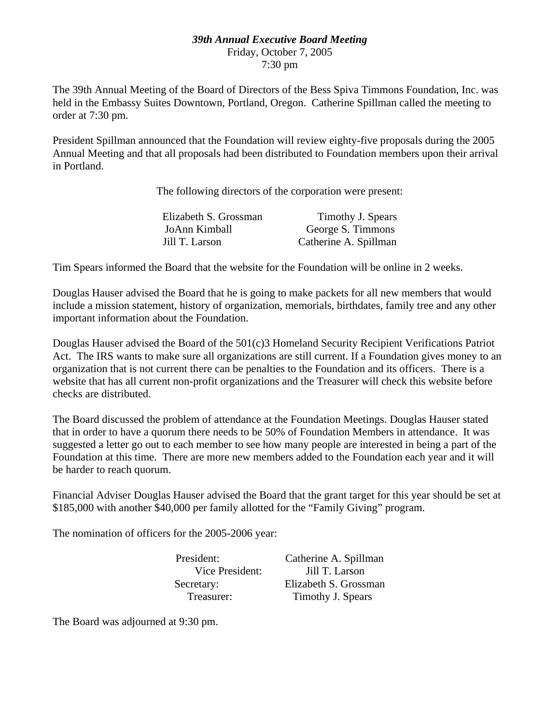#### *39th Annual Executive Board Meeting* Friday, October 7, 2005 7:30 pm

The 39th Annual Meeting of the Board of Directors of the Bess Spiva Timmons Foundation, Inc. was held in the Embassy Suites Downtown, Portland, Oregon. Catherine Spillman called the meeting to order at 7:30 pm.

President Spillman announced that the Foundation will review eighty-five proposals during the 2005 Annual Meeting and that all proposals had been distributed to Foundation members upon their arrival in Portland.

The following directors of the corporation were present:

| Elizabeth S. Grossman | Timothy J. Spears     |
|-----------------------|-----------------------|
| JoAnn Kimball         | George S. Timmons     |
| Jill T. Larson        | Catherine A. Spillman |

Tim Spears informed the Board that the website for the Foundation will be online in 2 weeks.

Douglas Hauser advised the Board that he is going to make packets for all new members that would include a mission statement, history of organization, memorials, birthdates, family tree and any other important information about the Foundation.

Douglas Hauser advised the Board of the 501(c)3 Homeland Security Recipient Verifications Patriot Act. The IRS wants to make sure all organizations are still current. If a Foundation gives money to an organization that is not current there can be penalties to the Foundation and its officers. There is a website that has all current non-profit organizations and the Treasurer will check this website before checks are distributed.

The Board discussed the problem of attendance at the Foundation Meetings. Douglas Hauser stated that in order to have a quorum there needs to be 50% of Foundation Members in attendance. It was suggested a letter go out to each member to see how many people are interested in being a part of the Foundation at this time. There are more new members added to the Foundation each year and it will be harder to reach quorum.

Financial Adviser Douglas Hauser advised the Board that the grant target for this year should be set at \$185,000 with another \$40,000 per family allotted for the "Family Giving" program.

The nomination of officers for the 2005-2006 year:

President: Catherine A. Spillman Vice President: Jill T. Larson Secretary: Elizabeth S. Grossman Treasurer: Timothy J. Spears

The Board was adjourned at 9:30 pm.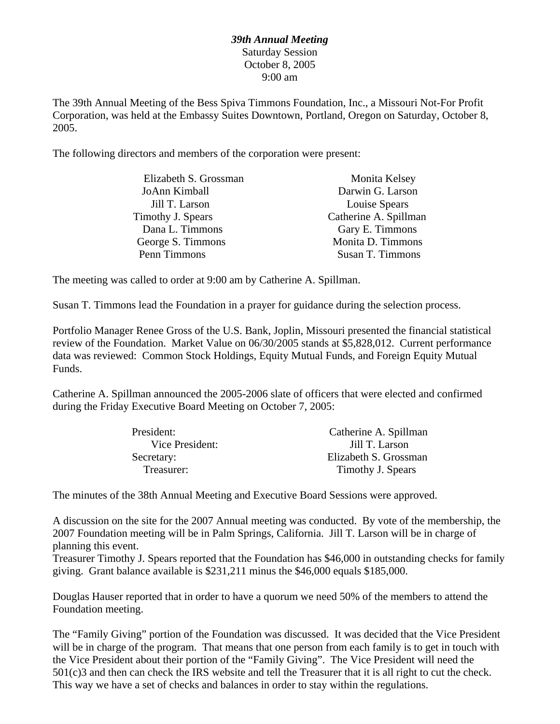#### *39th Annual Meeting* Saturday Session October 8, 2005 9:00 am

The 39th Annual Meeting of the Bess Spiva Timmons Foundation, Inc., a Missouri Not-For Profit Corporation, was held at the Embassy Suites Downtown, Portland, Oregon on Saturday, October 8, 2005.

The following directors and members of the corporation were present:

| Monita Kelsey         |
|-----------------------|
| Darwin G. Larson      |
| Louise Spears         |
| Catherine A. Spillman |
| Gary E. Timmons       |
| Monita D. Timmons     |
| Susan T. Timmons      |
|                       |

The meeting was called to order at 9:00 am by Catherine A. Spillman.

Susan T. Timmons lead the Foundation in a prayer for guidance during the selection process.

Portfolio Manager Renee Gross of the U.S. Bank, Joplin, Missouri presented the financial statistical review of the Foundation. Market Value on 06/30/2005 stands at \$5,828,012. Current performance data was reviewed: Common Stock Holdings, Equity Mutual Funds, and Foreign Equity Mutual Funds.

Catherine A. Spillman announced the 2005-2006 slate of officers that were elected and confirmed during the Friday Executive Board Meeting on October 7, 2005:

| President:      | Catherine A. Spillman |
|-----------------|-----------------------|
| Vice President: | Jill T. Larson        |
| Secretary:      | Elizabeth S. Grossman |
| Treasurer:      | Timothy J. Spears     |

The minutes of the 38th Annual Meeting and Executive Board Sessions were approved.

A discussion on the site for the 2007 Annual meeting was conducted. By vote of the membership, the 2007 Foundation meeting will be in Palm Springs, California. Jill T. Larson will be in charge of planning this event.

Treasurer Timothy J. Spears reported that the Foundation has \$46,000 in outstanding checks for family giving. Grant balance available is \$231,211 minus the \$46,000 equals \$185,000.

Douglas Hauser reported that in order to have a quorum we need 50% of the members to attend the Foundation meeting.

The "Family Giving" portion of the Foundation was discussed. It was decided that the Vice President will be in charge of the program. That means that one person from each family is to get in touch with the Vice President about their portion of the "Family Giving". The Vice President will need the 501(c)3 and then can check the IRS website and tell the Treasurer that it is all right to cut the check. This way we have a set of checks and balances in order to stay within the regulations.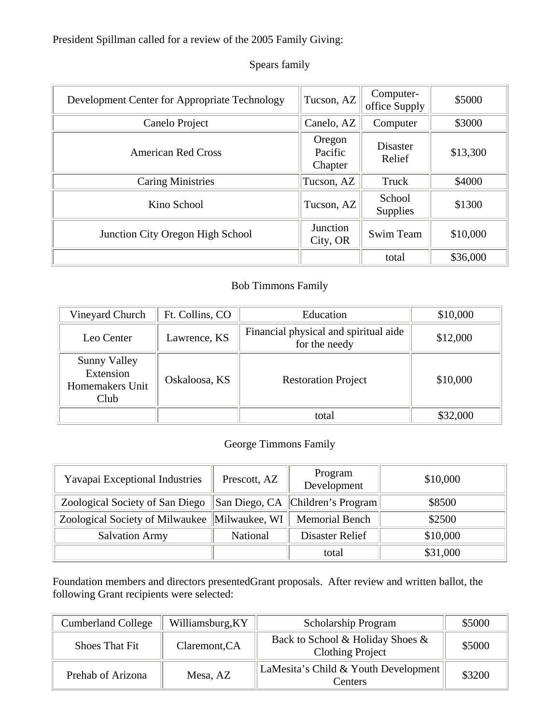President Spillman called for a review of the 2005 Family Giving:

| Development Center for Appropriate Technology | Tucson, AZ                   | Computer-<br>office Supply | \$5000   |
|-----------------------------------------------|------------------------------|----------------------------|----------|
| Canelo Project                                | Canelo, AZ                   | Computer                   | \$3000   |
| <b>American Red Cross</b>                     | Oregon<br>Pacific<br>Chapter | <b>Disaster</b><br>Relief  | \$13,300 |
| <b>Caring Ministries</b>                      | Tucson, AZ                   | Truck                      | \$4000   |
| Kino School                                   | Tucson, AZ                   | School<br>Supplies         | \$1300   |
| Junction City Oregon High School              | Junction<br>City, OR         | Swim Team                  | \$10,000 |
|                                               |                              | total                      | \$36,000 |

# Spears family

### Bob Timmons Family

| Vineyard Church                                      | Ft. Collins, CO | Education                                              | \$10,000 |
|------------------------------------------------------|-----------------|--------------------------------------------------------|----------|
| Leo Center                                           | Lawrence, KS    | Financial physical and spiritual aide<br>for the needy | \$12,000 |
| Sunny Valley<br>Extension<br>Homemakers Unit<br>Club | Oskaloosa, KS   | <b>Restoration Project</b>                             | \$10,000 |
|                                                      |                 | total                                                  | \$32,000 |

# George Timmons Family

| Yavapai Exceptional Industries                  | Prescott, AZ | Program<br>Development             | \$10,000 |
|-------------------------------------------------|--------------|------------------------------------|----------|
| Zoological Society of San Diego                 |              | San Diego, CA   Children's Program | \$8500   |
| Zoological Society of Milwaukee   Milwaukee, WI |              | <b>Memorial Bench</b>              | \$2500   |
| <b>Salvation Army</b>                           | National     | Disaster Relief                    | \$10,000 |
|                                                 |              | total                              | \$31,000 |

Foundation members and directors presentedGrant proposals. After review and written ballot, the following Grant recipients were selected:

| <b>Cumberland College</b> | Williamsburg, KY | Scholarship Program                                         | \$5000 |
|---------------------------|------------------|-------------------------------------------------------------|--------|
| Shoes That Fit            | Claremont, CA    | Back to School & Holiday Shoes &<br><b>Clothing Project</b> | \$5000 |
| Prehab of Arizona         | Mesa, AZ         | LaMesita's Child & Youth Development<br>Centers             | \$3200 |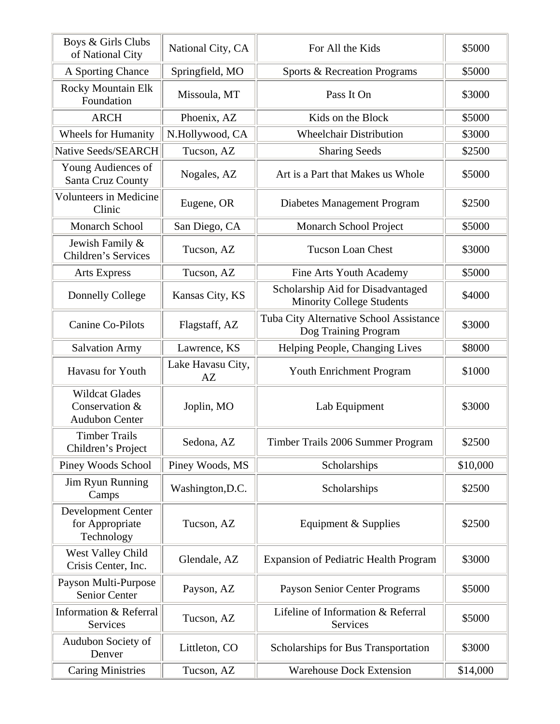| Boys & Girls Clubs<br>of National City                           | National City, CA       | For All the Kids                                                      | \$5000   |
|------------------------------------------------------------------|-------------------------|-----------------------------------------------------------------------|----------|
| A Sporting Chance                                                | Springfield, MO         | Sports & Recreation Programs                                          | \$5000   |
| <b>Rocky Mountain Elk</b><br>Foundation                          | Missoula, MT            | Pass It On                                                            | \$3000   |
| <b>ARCH</b>                                                      | Phoenix, AZ             | Kids on the Block                                                     | \$5000   |
| <b>Wheels for Humanity</b>                                       | N.Hollywood, CA         | <b>Wheelchair Distribution</b>                                        | \$3000   |
| Native Seeds/SEARCH                                              | Tucson, AZ              | <b>Sharing Seeds</b>                                                  | \$2500   |
| Young Audiences of<br>Santa Cruz County                          | Nogales, AZ             | Art is a Part that Makes us Whole                                     | \$5000   |
| <b>Volunteers in Medicine</b><br>Clinic                          | Eugene, OR              | Diabetes Management Program                                           | \$2500   |
| <b>Monarch School</b>                                            | San Diego, CA           | Monarch School Project                                                | \$5000   |
| Jewish Family &<br>Children's Services                           | Tucson, AZ              | <b>Tucson Loan Chest</b>                                              | \$3000   |
| <b>Arts Express</b>                                              | Tucson, AZ              | Fine Arts Youth Academy                                               | \$5000   |
| Donnelly College                                                 | Kansas City, KS         | Scholarship Aid for Disadvantaged<br><b>Minority College Students</b> | \$4000   |
| <b>Canine Co-Pilots</b>                                          | Flagstaff, AZ           | Tuba City Alternative School Assistance<br>Dog Training Program       | \$3000   |
| <b>Salvation Army</b>                                            | Lawrence, KS            | Helping People, Changing Lives                                        | \$8000   |
| Havasu for Youth                                                 | Lake Havasu City,<br>AZ | Youth Enrichment Program                                              | \$1000   |
| <b>Wildcat Glades</b><br>Conservation &<br><b>Audubon Center</b> | Joplin, MO              | Lab Equipment                                                         | \$3000   |
| <b>Timber Trails</b><br>Children's Project                       | Sedona, AZ              | Timber Trails 2006 Summer Program                                     | \$2500   |
| Piney Woods School                                               | Piney Woods, MS         | Scholarships                                                          | \$10,000 |
| Jim Ryun Running<br>Camps                                        | Washington, D.C.        | Scholarships                                                          | \$2500   |
| Development Center<br>for Appropriate<br>Technology              | Tucson, AZ              | Equipment & Supplies                                                  | \$2500   |
| West Valley Child<br>Crisis Center, Inc.                         | Glendale, AZ            | <b>Expansion of Pediatric Health Program</b>                          | \$3000   |
| Payson Multi-Purpose<br>Senior Center                            | Payson, AZ              | Payson Senior Center Programs                                         | \$5000   |
| <b>Information &amp; Referral</b><br>Services                    | Tucson, AZ              | Lifeline of Information & Referral<br>Services                        | \$5000   |
| Audubon Society of<br>Denver                                     | Littleton, CO           | Scholarships for Bus Transportation                                   | \$3000   |
| <b>Caring Ministries</b>                                         | Tucson, AZ              | <b>Warehouse Dock Extension</b>                                       | \$14,000 |